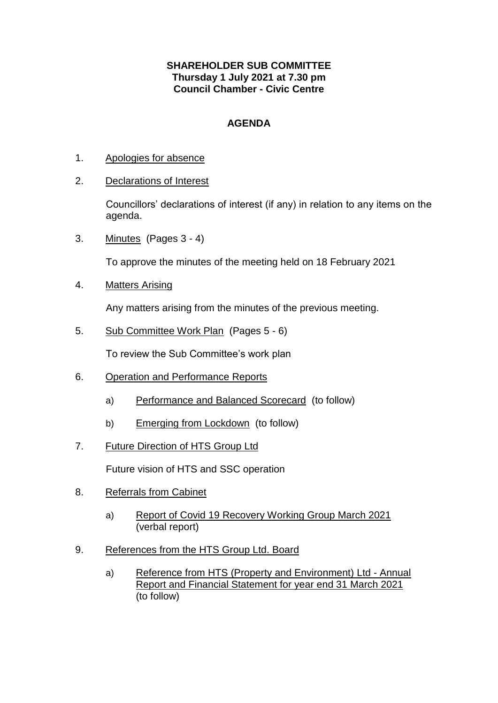## **SHAREHOLDER SUB COMMITTEE Thursday 1 July 2021 at 7.30 pm Council Chamber - Civic Centre**

## **AGENDA**

- 1. Apologies for absence
- 2. Declarations of Interest

Councillors' declarations of interest (if any) in relation to any items on the agenda.

3. Minutes (Pages 3 - 4)

To approve the minutes of the meeting held on 18 February 2021

4. Matters Arising

Any matters arising from the minutes of the previous meeting.

5. Sub Committee Work Plan (Pages 5 - 6)

To review the Sub Committee's work plan

- 6. Operation and Performance Reports
	- a) Performance and Balanced Scorecard (to follow)
	- b) Emerging from Lockdown (to follow)
- 7. Future Direction of HTS Group Ltd

Future vision of HTS and SSC operation

- 8. Referrals from Cabinet
	- a) Report of Covid 19 Recovery Working Group March 2021 (verbal report)
- 9. References from the HTS Group Ltd. Board
	- a) Reference from HTS (Property and Environment) Ltd Annual Report and Financial Statement for year end 31 March 2021 (to follow)